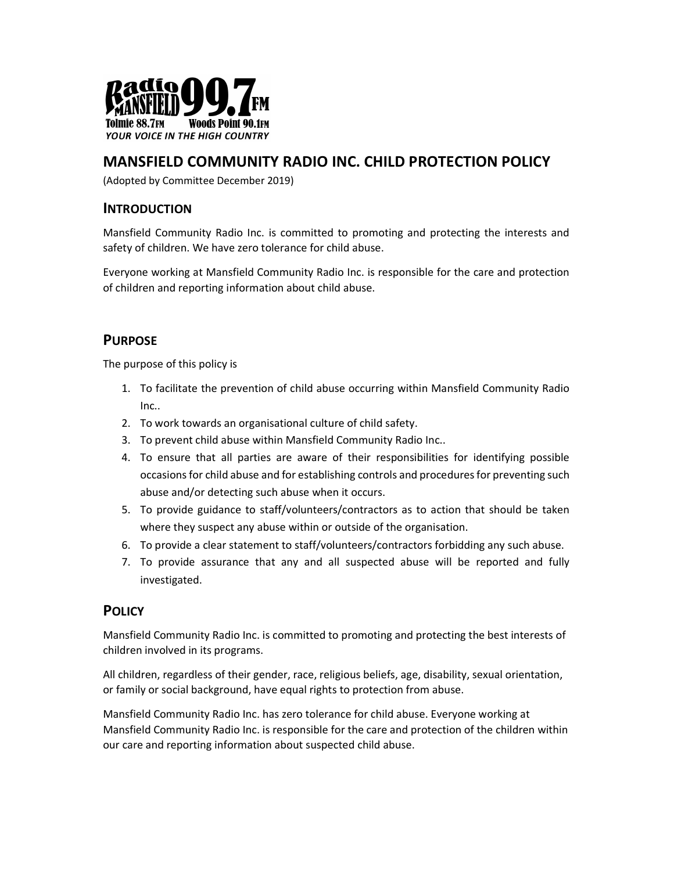

# MANSFIELD COMMUNITY RADIO INC. CHILD PROTECTION POLICY

(Adopted by Committee December 2019)

### INTRODUCTION

Mansfield Community Radio Inc. is committed to promoting and protecting the interests and safety of children. We have zero tolerance for child abuse.

Everyone working at Mansfield Community Radio Inc. is responsible for the care and protection of children and reporting information about child abuse.

## PURPOSE

The purpose of this policy is

- 1. To facilitate the prevention of child abuse occurring within Mansfield Community Radio Inc..
- 2. To work towards an organisational culture of child safety.
- 3. To prevent child abuse within Mansfield Community Radio Inc..
- 4. To ensure that all parties are aware of their responsibilities for identifying possible occasions for child abuse and for establishing controls and procedures for preventing such abuse and/or detecting such abuse when it occurs.
- 5. To provide guidance to staff/volunteers/contractors as to action that should be taken where they suspect any abuse within or outside of the organisation.
- 6. To provide a clear statement to staff/volunteers/contractors forbidding any such abuse.
- 7. To provide assurance that any and all suspected abuse will be reported and fully investigated.

### **POLICY**

Mansfield Community Radio Inc. is committed to promoting and protecting the best interests of children involved in its programs.

All children, regardless of their gender, race, religious beliefs, age, disability, sexual orientation, or family or social background, have equal rights to protection from abuse.

Mansfield Community Radio Inc. has zero tolerance for child abuse. Everyone working at Mansfield Community Radio Inc. is responsible for the care and protection of the children within our care and reporting information about suspected child abuse.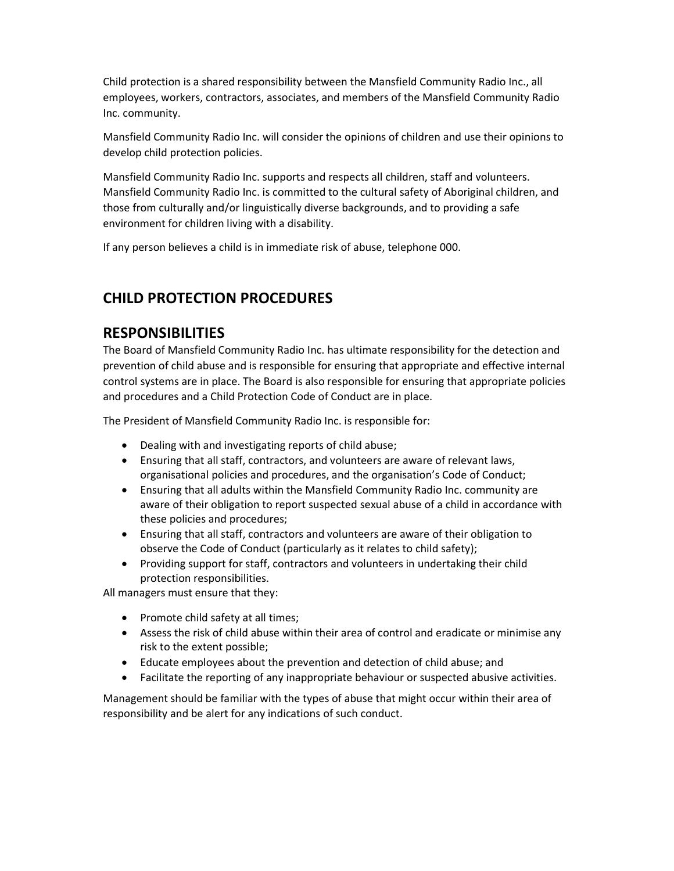Child protection is a shared responsibility between the Mansfield Community Radio Inc., all employees, workers, contractors, associates, and members of the Mansfield Community Radio Inc. community.

Mansfield Community Radio Inc. will consider the opinions of children and use their opinions to develop child protection policies.

Mansfield Community Radio Inc. supports and respects all children, staff and volunteers. Mansfield Community Radio Inc. is committed to the cultural safety of Aboriginal children, and those from culturally and/or linguistically diverse backgrounds, and to providing a safe environment for children living with a disability.

If any person believes a child is in immediate risk of abuse, telephone 000.

# CHILD PROTECTION PROCEDURES

# RESPONSIBILITIES

The Board of Mansfield Community Radio Inc. has ultimate responsibility for the detection and prevention of child abuse and is responsible for ensuring that appropriate and effective internal control systems are in place. The Board is also responsible for ensuring that appropriate policies and procedures and a Child Protection Code of Conduct are in place.

The President of Mansfield Community Radio Inc. is responsible for:

- Dealing with and investigating reports of child abuse;
- Ensuring that all staff, contractors, and volunteers are aware of relevant laws, organisational policies and procedures, and the organisation's Code of Conduct;
- Ensuring that all adults within the Mansfield Community Radio Inc. community are aware of their obligation to report suspected sexual abuse of a child in accordance with these policies and procedures;
- Ensuring that all staff, contractors and volunteers are aware of their obligation to observe the Code of Conduct (particularly as it relates to child safety);
- Providing support for staff, contractors and volunteers in undertaking their child protection responsibilities.

All managers must ensure that they:

- Promote child safety at all times;
- Assess the risk of child abuse within their area of control and eradicate or minimise any risk to the extent possible;
- Educate employees about the prevention and detection of child abuse; and
- Facilitate the reporting of any inappropriate behaviour or suspected abusive activities.

Management should be familiar with the types of abuse that might occur within their area of responsibility and be alert for any indications of such conduct.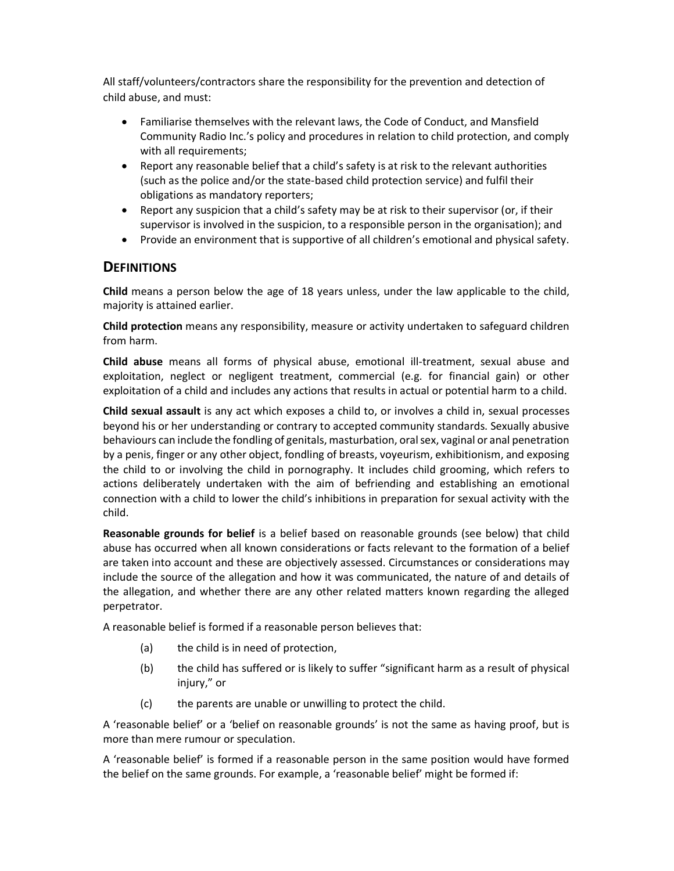All staff/volunteers/contractors share the responsibility for the prevention and detection of child abuse, and must:

- Familiarise themselves with the relevant laws, the Code of Conduct, and Mansfield Community Radio Inc.'s policy and procedures in relation to child protection, and comply with all requirements;
- Report any reasonable belief that a child's safety is at risk to the relevant authorities (such as the police and/or the state-based child protection service) and fulfil their obligations as mandatory reporters;
- Report any suspicion that a child's safety may be at risk to their supervisor (or, if their supervisor is involved in the suspicion, to a responsible person in the organisation); and
- Provide an environment that is supportive of all children's emotional and physical safety.

### **DEFINITIONS**

Child means a person below the age of 18 years unless, under the law applicable to the child, majority is attained earlier.

Child protection means any responsibility, measure or activity undertaken to safeguard children from harm.

Child abuse means all forms of physical abuse, emotional ill-treatment, sexual abuse and exploitation, neglect or negligent treatment, commercial (e.g. for financial gain) or other exploitation of a child and includes any actions that results in actual or potential harm to a child.

Child sexual assault is any act which exposes a child to, or involves a child in, sexual processes beyond his or her understanding or contrary to accepted community standards. Sexually abusive behaviours can include the fondling of genitals, masturbation, oral sex, vaginal or anal penetration by a penis, finger or any other object, fondling of breasts, voyeurism, exhibitionism, and exposing the child to or involving the child in pornography. It includes child grooming, which refers to actions deliberately undertaken with the aim of befriending and establishing an emotional connection with a child to lower the child's inhibitions in preparation for sexual activity with the child.

Reasonable grounds for belief is a belief based on reasonable grounds (see below) that child abuse has occurred when all known considerations or facts relevant to the formation of a belief are taken into account and these are objectively assessed. Circumstances or considerations may include the source of the allegation and how it was communicated, the nature of and details of the allegation, and whether there are any other related matters known regarding the alleged perpetrator.

A reasonable belief is formed if a reasonable person believes that:

- (a) the child is in need of protection,
- (b) the child has suffered or is likely to suffer "significant harm as a result of physical injury," or
- (c) the parents are unable or unwilling to protect the child.

A 'reasonable belief' or a 'belief on reasonable grounds' is not the same as having proof, but is more than mere rumour or speculation.

A 'reasonable belief' is formed if a reasonable person in the same position would have formed the belief on the same grounds. For example, a 'reasonable belief' might be formed if: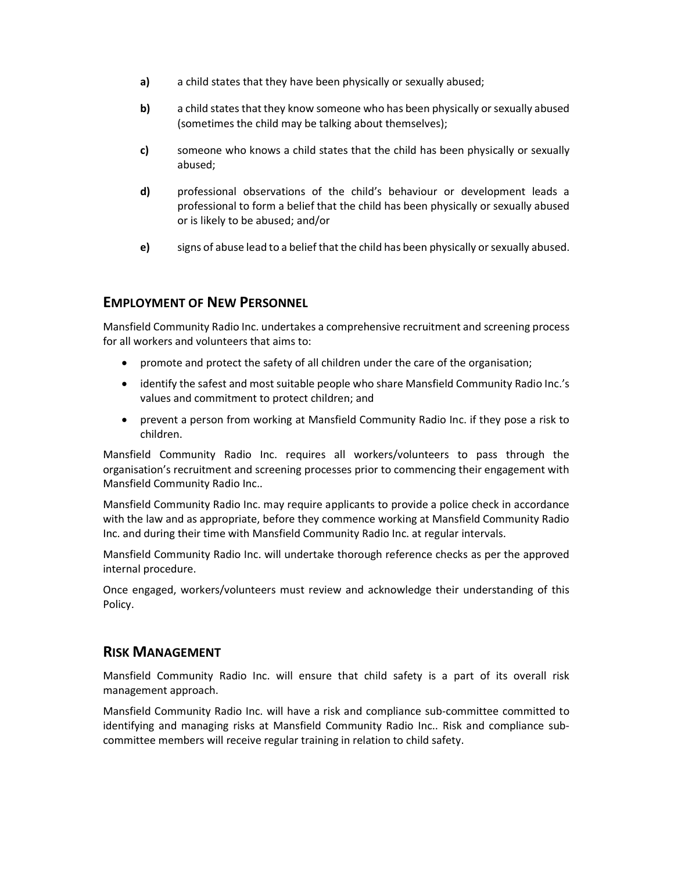- a) a child states that they have been physically or sexually abused;
- b) a child states that they know someone who has been physically or sexually abused (sometimes the child may be talking about themselves);
- c) someone who knows a child states that the child has been physically or sexually abused;
- d) professional observations of the child's behaviour or development leads a professional to form a belief that the child has been physically or sexually abused or is likely to be abused; and/or
- e) signs of abuse lead to a belief that the child has been physically or sexually abused.

#### EMPLOYMENT OF NEW PERSONNEL

Mansfield Community Radio Inc. undertakes a comprehensive recruitment and screening process for all workers and volunteers that aims to:

- promote and protect the safety of all children under the care of the organisation;
- identify the safest and most suitable people who share Mansfield Community Radio Inc.'s values and commitment to protect children; and
- prevent a person from working at Mansfield Community Radio Inc. if they pose a risk to children.

Mansfield Community Radio Inc. requires all workers/volunteers to pass through the organisation's recruitment and screening processes prior to commencing their engagement with Mansfield Community Radio Inc..

Mansfield Community Radio Inc. may require applicants to provide a police check in accordance with the law and as appropriate, before they commence working at Mansfield Community Radio Inc. and during their time with Mansfield Community Radio Inc. at regular intervals.

Mansfield Community Radio Inc. will undertake thorough reference checks as per the approved internal procedure.

Once engaged, workers/volunteers must review and acknowledge their understanding of this Policy.

#### RISK MANAGEMENT

Mansfield Community Radio Inc. will ensure that child safety is a part of its overall risk management approach.

Mansfield Community Radio Inc. will have a risk and compliance sub-committee committed to identifying and managing risks at Mansfield Community Radio Inc.. Risk and compliance subcommittee members will receive regular training in relation to child safety.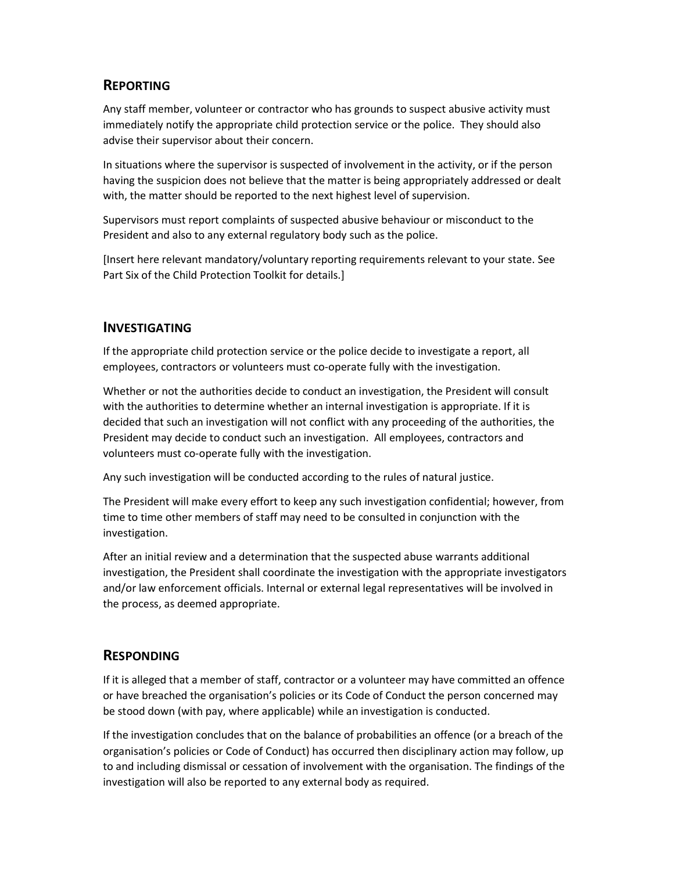# REPORTING

Any staff member, volunteer or contractor who has grounds to suspect abusive activity must immediately notify the appropriate child protection service or the police. They should also advise their supervisor about their concern.

In situations where the supervisor is suspected of involvement in the activity, or if the person having the suspicion does not believe that the matter is being appropriately addressed or dealt with, the matter should be reported to the next highest level of supervision.

Supervisors must report complaints of suspected abusive behaviour or misconduct to the President and also to any external regulatory body such as the police.

[Insert here relevant mandatory/voluntary reporting requirements relevant to your state. See Part Six of the Child Protection Toolkit for details.]

## INVESTIGATING

If the appropriate child protection service or the police decide to investigate a report, all employees, contractors or volunteers must co-operate fully with the investigation.

Whether or not the authorities decide to conduct an investigation, the President will consult with the authorities to determine whether an internal investigation is appropriate. If it is decided that such an investigation will not conflict with any proceeding of the authorities, the President may decide to conduct such an investigation. All employees, contractors and volunteers must co-operate fully with the investigation.

Any such investigation will be conducted according to the rules of natural justice.

The President will make every effort to keep any such investigation confidential; however, from time to time other members of staff may need to be consulted in conjunction with the investigation.

After an initial review and a determination that the suspected abuse warrants additional investigation, the President shall coordinate the investigation with the appropriate investigators and/or law enforcement officials. Internal or external legal representatives will be involved in the process, as deemed appropriate.

# **RESPONDING**

If it is alleged that a member of staff, contractor or a volunteer may have committed an offence or have breached the organisation's policies or its Code of Conduct the person concerned may be stood down (with pay, where applicable) while an investigation is conducted.

If the investigation concludes that on the balance of probabilities an offence (or a breach of the organisation's policies or Code of Conduct) has occurred then disciplinary action may follow, up to and including dismissal or cessation of involvement with the organisation. The findings of the investigation will also be reported to any external body as required.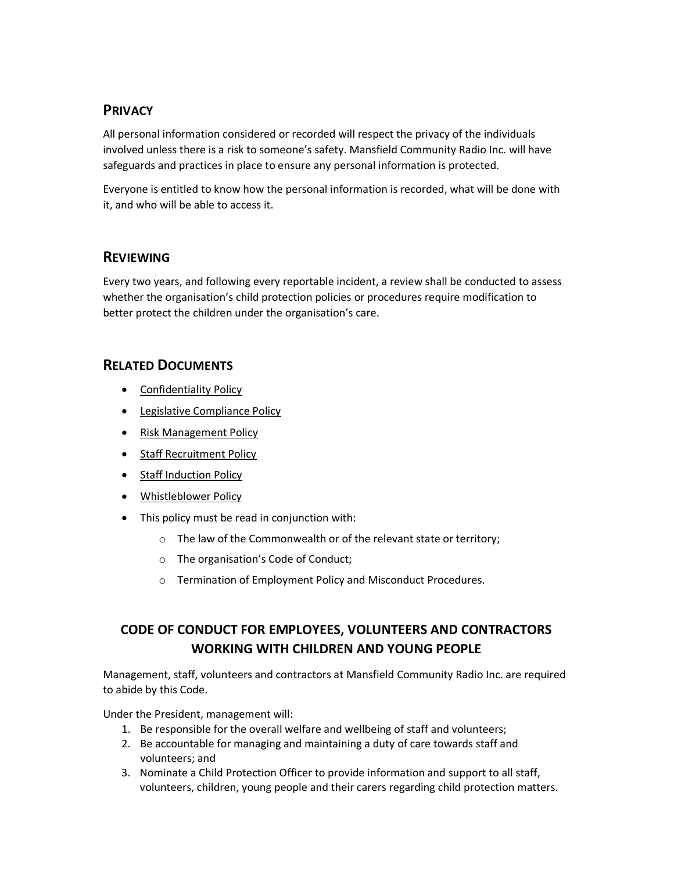# PRIVACY

All personal information considered or recorded will respect the privacy of the individuals involved unless there is a risk to someone's safety. Mansfield Community Radio Inc. will have safeguards and practices in place to ensure any personal information is protected.

Everyone is entitled to know how the personal information is recorded, what will be done with it, and who will be able to access it.

## **REVIEWING**

Every two years, and following every reportable incident, a review shall be conducted to assess whether the organisation's child protection policies or procedures require modification to better protect the children under the organisation's care.

## RELATED DOCUMENTS

- **•** Confidentiality Policy
- **•** Legislative Compliance Policy
- Risk Management Policy
- Staff Recruitment Policy
- Staff Induction Policy
- Whistleblower Policy
- This policy must be read in conjunction with:
	- o The law of the Commonwealth or of the relevant state or territory;
	- o The organisation's Code of Conduct;
	- o Termination of Employment Policy and Misconduct Procedures.

# CODE OF CONDUCT FOR EMPLOYEES, VOLUNTEERS AND CONTRACTORS WORKING WITH CHILDREN AND YOUNG PEOPLE

Management, staff, volunteers and contractors at Mansfield Community Radio Inc. are required to abide by this Code.

Under the President, management will:

- 1. Be responsible for the overall welfare and wellbeing of staff and volunteers;
- 2. Be accountable for managing and maintaining a duty of care towards staff and volunteers; and
- 3. Nominate a Child Protection Officer to provide information and support to all staff, volunteers, children, young people and their carers regarding child protection matters.